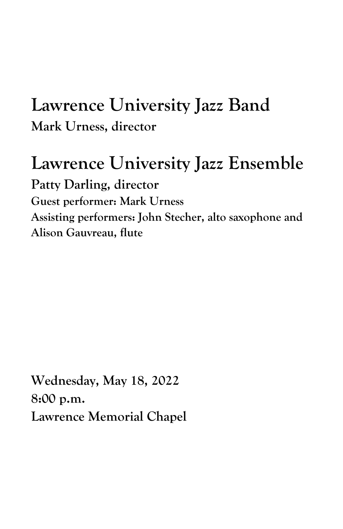# **Lawrence University Jazz Band Mark Urness, director**

# **Lawrence University Jazz Ensemble**

**Patty Darling, director Guest performer: Mark Urness Assisting performers: John Stecher, alto saxophone and Alison Gauvreau, flute**

**Wednesday, May 18, 2022 8:00 p.m. Lawrence Memorial Chapel**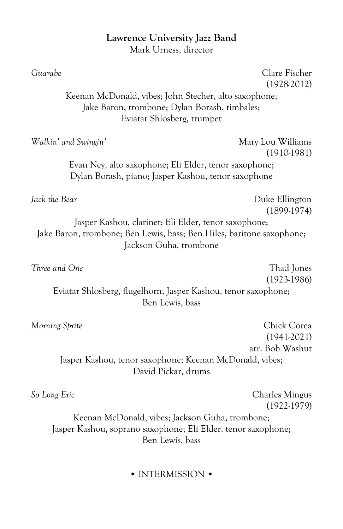### **Lawrence University Jazz Band** Mark Urness, director

| Guarabe                                                                                                                                                 | Clare Fischer<br>$(1928-2012)$     |
|---------------------------------------------------------------------------------------------------------------------------------------------------------|------------------------------------|
| Keenan McDonald, vibes; John Stecher, alto saxophone;<br>Jake Baron, trombone; Dylan Borash, timbales;<br>Eviatar Shlosberg, trumpet                    |                                    |
| Walkin' and Swingin'                                                                                                                                    | Mary Lou Williams<br>$(1910-1981)$ |
| Evan Ney, alto saxophone; Eli Elder, tenor saxophone;<br>Dylan Borash, piano; Jasper Kashou, tenor saxophone                                            |                                    |
| Jack the Bear                                                                                                                                           | Duke Ellington<br>$(1899-1974)$    |
| Jasper Kashou, clarinet; Eli Elder, tenor saxophone;<br>Jake Baron, trombone; Ben Lewis, bass; Ben Hiles, baritone saxophone;<br>Jackson Guha, trombone |                                    |
| Three and One                                                                                                                                           | Thad Jones<br>$(1923-1986)$        |
| Eviatar Shlosberg, flugelhorn; Jasper Kashou, tenor saxophone;<br>Ben Lewis, bass                                                                       |                                    |
| Morning Sprite                                                                                                                                          | Chick Corea<br>$(1941-2021)$       |
| Jasper Kashou, tenor saxophone; Keenan McDonald, vibes;<br>David Pickar, drums                                                                          | arr. Bob Washut                    |
| So Long Eric                                                                                                                                            | Charles Mingus<br>$(1922-1979)$    |
| Keenan McDonald, vibes; Jackson Guha, trombone;                                                                                                         |                                    |

### Jasper Kashou, soprano saxophone; Eli Elder, tenor saxophone; Ben Lewis, bass

### • INTERMISSION •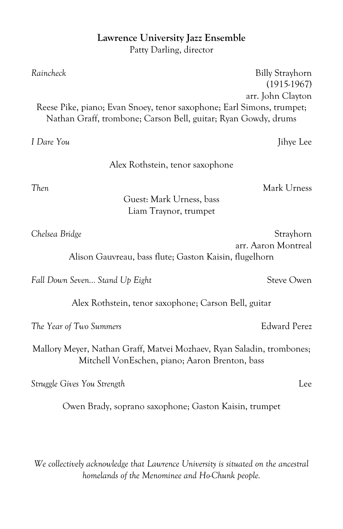## **Lawrence University Jazz Ensemble**

Patty Darling, director

| Raincheck                                                                                                               | <b>Billy Strayhorn</b>             |
|-------------------------------------------------------------------------------------------------------------------------|------------------------------------|
|                                                                                                                         | $(1915-1967)$<br>arr. John Clayton |
| Reese Pike, piano; Evan Snoey, tenor saxophone; Earl Simons, trumpet;                                                   |                                    |
| Nathan Graff, trombone; Carson Bell, guitar; Ryan Gowdy, drums                                                          |                                    |
|                                                                                                                         |                                    |
| I Dare You                                                                                                              | Jihye Lee                          |
| Alex Rothstein, tenor saxophone                                                                                         |                                    |
| Then                                                                                                                    | Mark Urness                        |
| Guest: Mark Urness, bass                                                                                                |                                    |
| Liam Traynor, trumpet                                                                                                   |                                    |
| Chelsea Bridge                                                                                                          | Strayhorn                          |
|                                                                                                                         | arr. Aaron Montreal                |
| Alison Gauvreau, bass flute; Gaston Kaisin, flugelhorn                                                                  |                                    |
| Fall Down Seven Stand Up Eight                                                                                          | <b>Steve Owen</b>                  |
|                                                                                                                         |                                    |
| Alex Rothstein, tenor saxophone; Carson Bell, guitar                                                                    |                                    |
| The Year of Two Summers                                                                                                 | <b>Edward Perez</b>                |
| Mallory Meyer, Nathan Graff, Matvei Mozhaev, Ryan Saladin, trombones;<br>Mitchell VonEschen, piano; Aaron Brenton, bass |                                    |
| Struggle Gives You Strength                                                                                             | Lee                                |
| Owen Brady, soprano saxophone; Gaston Kaisin, trumpet                                                                   |                                    |

*We collectively acknowledge that Lawrence University is situated on the ancestral homelands of the Menominee and Ho-Chunk people.*